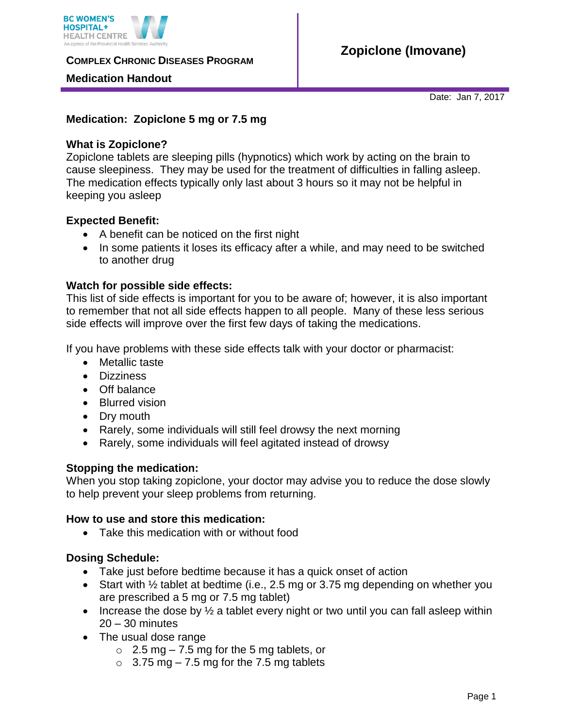

**COMPLEX CHRONIC DISEASES PROGRAM** 

### **Medication Handout**

Date: Jan 7, 2017

## **Medication: Zopiclone 5 mg or 7.5 mg**

## **What is Zopiclone?**

Zopiclone tablets are sleeping pills (hypnotics) which work by acting on the brain to cause sleepiness. They may be used for the treatment of difficulties in falling asleep. The medication effects typically only last about 3 hours so it may not be helpful in keeping you asleep

## **Expected Benefit:**

- A benefit can be noticed on the first night
- In some patients it loses its efficacy after a while, and may need to be switched to another drug

#### **Watch for possible side effects:**

This list of side effects is important for you to be aware of; however, it is also important to remember that not all side effects happen to all people. Many of these less serious side effects will improve over the first few days of taking the medications.

If you have problems with these side effects talk with your doctor or pharmacist:

- Metallic taste
- **•** Dizziness
- Off balance
- Blurred vision
- Dry mouth
- Rarely, some individuals will still feel drowsy the next morning
- Rarely, some individuals will feel agitated instead of drowsy

#### **Stopping the medication:**

When you stop taking zopiclone, your doctor may advise you to reduce the dose slowly to help prevent your sleep problems from returning.

#### **How to use and store this medication:**

Take this medication with or without food

# **Dosing Schedule:**

- Take just before bedtime because it has a quick onset of action
- Start with  $\frac{1}{2}$  tablet at bedtime (i.e., 2.5 mg or 3.75 mg depending on whether you are prescribed a 5 mg or 7.5 mg tablet)
- Increase the dose by  $\frac{1}{2}$  a tablet every night or two until you can fall asleep within 20 – 30 minutes
- The usual dose range
	- $\circ$  2.5 mg 7.5 mg for the 5 mg tablets, or
	- $\circ$  3.75 mg 7.5 mg for the 7.5 mg tablets